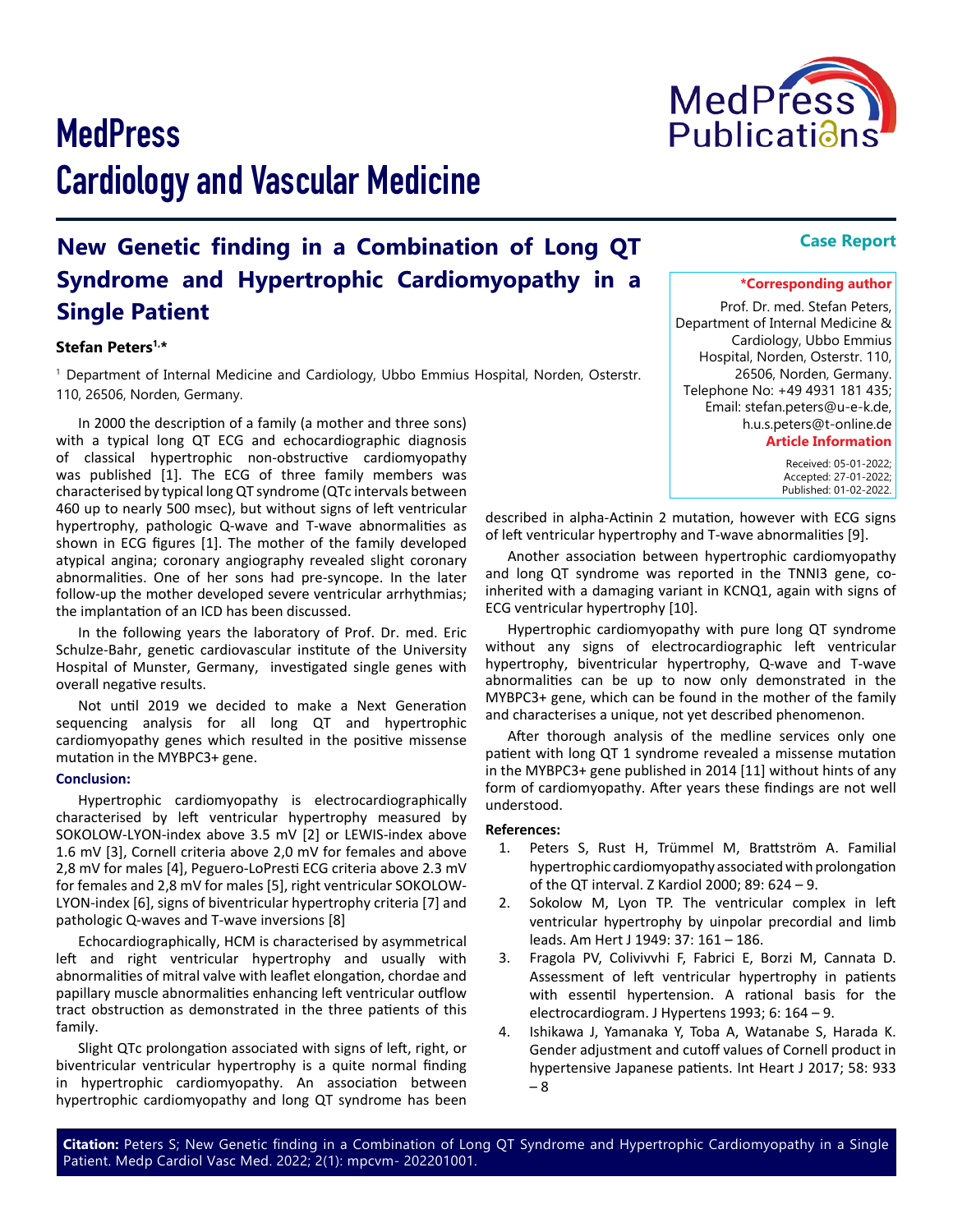# **MedPress** Cardiology and Vascular Medicine

## **New Genetic finding in a Combination of Long QT Syndrome and Hypertrophic Cardiomyopathy in a Single Patient**

#### **Stefan Peters1,\***

1 Department of Internal Medicine and Cardiology, Ubbo Emmius Hospital, Norden, Osterstr. 110, 26506, Norden, Germany.

In 2000 the description of a family (a mother and three sons) with a typical long QT ECG and echocardiographic diagnosis of classical hypertrophic non-obstructive cardiomyopathy was published [1]. The ECG of three family members was characterised by typical long QT syndrome (QTc intervals between 460 up to nearly 500 msec), but without signs of left ventricular hypertrophy, pathologic Q-wave and T-wave abnormalities as shown in ECG figures [1]. The mother of the family developed atypical angina; coronary angiography revealed slight coronary abnormalities. One of her sons had pre-syncope. In the later follow-up the mother developed severe ventricular arrhythmias; the implantation of an ICD has been discussed.

In the following years the laboratory of Prof. Dr. med. Eric Schulze-Bahr, genetic cardiovascular institute of the University Hospital of Munster, Germany, investigated single genes with overall negative results.

Not until 2019 we decided to make a Next Generation sequencing analysis for all long QT and hypertrophic cardiomyopathy genes which resulted in the positive missense mutation in the MYBPC3+ gene.

#### **Conclusion:**

Hypertrophic cardiomyopathy is electrocardiographically characterised by left ventricular hypertrophy measured by SOKOLOW-LYON-index above 3.5 mV [2] or LEWIS-index above 1.6 mV [3], Cornell criteria above 2,0 mV for females and above 2,8 mV for males [4], Peguero-LoPresti ECG criteria above 2.3 mV for females and 2,8 mV for males [5], right ventricular SOKOLOW-LYON-index [6], signs of biventricular hypertrophy criteria [7] and pathologic Q-waves and T-wave inversions [8]

Echocardiographically, HCM is characterised by asymmetrical left and right ventricular hypertrophy and usually with abnormalities of mitral valve with leaflet elongation, chordae and papillary muscle abnormalities enhancing left ventricular outflow tract obstruction as demonstrated in the three patients of this family.

Slight QTc prolongation associated with signs of left, right, or biventricular ventricular hypertrophy is a quite normal finding in hypertrophic cardiomyopathy. An association between hypertrophic cardiomyopathy and long QT syndrome has been

described in alpha-Actinin 2 mutation, however with ECG signs of left ventricular hypertrophy and T-wave abnormalities [9].

Another association between hypertrophic cardiomyopathy and long QT syndrome was reported in the TNNI3 gene, coinherited with a damaging variant in KCNQ1, again with signs of ECG ventricular hypertrophy [10].

Hypertrophic cardiomyopathy with pure long QT syndrome without any signs of electrocardiographic left ventricular hypertrophy, biventricular hypertrophy, Q-wave and T-wave abnormalities can be up to now only demonstrated in the MYBPC3+ gene, which can be found in the mother of the family and characterises a unique, not yet described phenomenon.

After thorough analysis of the medline services only one patient with long QT 1 syndrome revealed a missense mutation in the MYBPC3+ gene published in 2014 [11] without hints of any form of cardiomyopathy. After years these findings are not well understood.

#### **References:**

- 1. [Peters S, Rust H, Trümmel M, Brattström A. Familial](https://pubmed.ncbi.nlm.nih.gov/10957789/)  [hypertrophic cardiomyopathy associated with prolongation](https://pubmed.ncbi.nlm.nih.gov/10957789/)  [of the QT interval. Z Kardiol 2000; 89: 624 – 9.](https://pubmed.ncbi.nlm.nih.gov/10957789/)
- 2. [Sokolow M, Lyon TP. The ventricular complex in left](https://pubmed.ncbi.nlm.nih.gov/18107386/)  [ventricular hypertrophy by uinpolar precordial and limb](https://pubmed.ncbi.nlm.nih.gov/18107386/)  [leads. Am Hert J 1949: 37: 161 – 186.](https://pubmed.ncbi.nlm.nih.gov/18107386/)
- 3. [Fragola PV, Colivivvhi F, Fabrici E, Borzi M, Cannata D.](https://pubmed.ncbi.nlm.nih.gov/8471235/)  [Assessment of left ventricular hypertrophy in patients](https://pubmed.ncbi.nlm.nih.gov/8471235/)  [with essentil hypertension. A rational basis for the](https://pubmed.ncbi.nlm.nih.gov/8471235/) [electrocardiogram. J Hypertens 1993; 6: 164 – 9.](https://pubmed.ncbi.nlm.nih.gov/8471235/)
- 4. [Ishikawa J, Yamanaka Y, Toba A, Watanabe S, Harada K.](https://pubmed.ncbi.nlm.nih.gov/29162779/)  [Gender adjustment and cutoff values of Cornell product in](https://pubmed.ncbi.nlm.nih.gov/29162779/)  [hypertensive Japanese patients. Int Heart J 2017; 58: 933](https://pubmed.ncbi.nlm.nih.gov/29162779/)  [– 8](https://pubmed.ncbi.nlm.nih.gov/29162779/)

#### **Case Report**

### **\*Corresponding author**

 Received: 05-01-2022; Accepted: 27-01-2022; Published: 01-02-2022.

Prof. Dr. med. Stefan Peters, Department of Internal Medicine & Cardiology, Ubbo Emmius Hospital, Norden, Osterstr. 110, 26506, Norden, Germany. Telephone No: +49 4931 181 435; Email: stefan.peters@u-e-k.de, h.u.s.peters@t-online.de **Article Information**